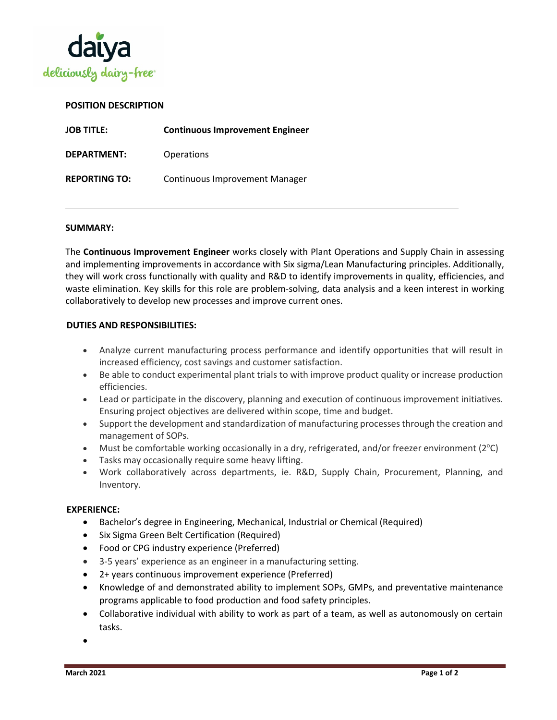

# **POSITION DESCRIPTION**

| <b>JOB TITLE:</b>    | <b>Continuous Improvement Engineer</b> |
|----------------------|----------------------------------------|
| <b>DEPARTMENT:</b>   | <b>Operations</b>                      |
| <b>REPORTING TO:</b> | <b>Continuous Improvement Manager</b>  |

#### **SUMMARY:**

The **Continuous Improvement Engineer** works closely with Plant Operations and Supply Chain in assessing and implementing improvements in accordance with Six sigma/Lean Manufacturing principles. Additionally, they will work cross functionally with quality and R&D to identify improvements in quality, efficiencies, and waste elimination. Key skills for this role are problem-solving, data analysis and a keen interest in working collaboratively to develop new processes and improve current ones.

## **DUTIES AND RESPONSIBILITIES:**

- Analyze current manufacturing process performance and identify opportunities that will result in increased efficiency, cost savings and customer satisfaction.
- Be able to conduct experimental plant trials to with improve product quality or increase production efficiencies.
- Lead or participate in the discovery, planning and execution of continuous improvement initiatives. Ensuring project objectives are delivered within scope, time and budget.
- Support the development and standardization of manufacturing processes through the creation and management of SOPs.
- Must be comfortable working occasionally in a dry, refrigerated, and/or freezer environment (2°C)
- Tasks may occasionally require some heavy lifting.
- Work collaboratively across departments, ie. R&D, Supply Chain, Procurement, Planning, and Inventory.

#### **EXPERIENCE:**

- Bachelor's degree in Engineering, Mechanical, Industrial or Chemical (Required)
- Six Sigma Green Belt Certification (Required)
- Food or CPG industry experience (Preferred)
- 3-5 years' experience as an engineer in a manufacturing setting.
- 2+ years continuous improvement experience (Preferred)
- Knowledge of and demonstrated ability to implement SOPs, GMPs, and preventative maintenance programs applicable to food production and food safety principles.
- Collaborative individual with ability to work as part of a team, as well as autonomously on certain tasks.

•